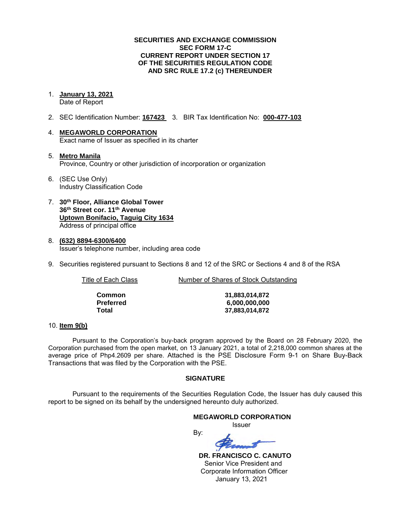## **SECURITIES AND EXCHANGE COMMISSION SEC FORM 17-C CURRENT REPORT UNDER SECTION 17 OF THE SECURITIES REGULATION CODE AND SRC RULE 17.2 (c) THEREUNDER**

#### 1. **January 13, 2021**  Date of Report

- 2. SEC Identification Number: **167423** 3. BIR Tax Identification No: **000-477-103**
- 4. **MEGAWORLD CORPORATION**  Exact name of Issuer as specified in its charter
- 5. **Metro Manila** Province, Country or other jurisdiction of incorporation or organization
- 6. (SEC Use Only) Industry Classification Code
- 7. **30th Floor, Alliance Global Tower 36th Street cor. 11th Avenue Uptown Bonifacio, Taguig City 1634** Address of principal office
- 8. **(632) 8894-6300/6400**  Issuer's telephone number, including area code
- 9. Securities registered pursuant to Sections 8 and 12 of the SRC or Sections 4 and 8 of the RSA

Title of Each Class Number of Shares of Stock Outstanding

| Common    |  |
|-----------|--|
| Preferred |  |
| Total     |  |

**Common 31,883,014,872 Preferred 6,000,000,000 Total 37,883,014,872**

#### 10. **Item 9(b)**

Pursuant to the Corporation's buy-back program approved by the Board on 28 February 2020, the Corporation purchased from the open market, on 13 January 2021, a total of 2,218,000 common shares at the average price of Php4.2609 per share. Attached is the PSE Disclosure Form 9-1 on Share Buy-Back Transactions that was filed by the Corporation with the PSE.

## **SIGNATURE**

Pursuant to the requirements of the Securities Regulation Code, the Issuer has duly caused this report to be signed on its behalf by the undersigned hereunto duly authorized.

#### **MEGAWORLD CORPORATION**

*<u>Issuer</u> Issuer Issuer* 

By:

 **DR. FRANCISCO C. CANUTO**  Senior Vice President and Corporate Information Officer January 13, 2021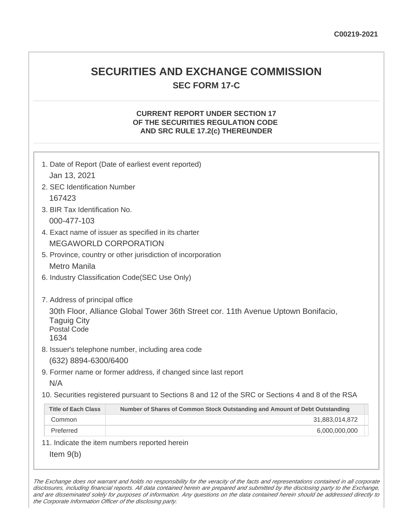## **SECURITIES AND EXCHANGE COMMISSION SEC FORM 17-C**

## **CURRENT REPORT UNDER SECTION 17 OF THE SECURITIES REGULATION CODE AND SRC RULE 17.2(c) THEREUNDER**

| 1. Date of Report (Date of earliest event reported)<br>Jan 13, 2021                                                                                                                                                         |                                                                                                   |  |
|-----------------------------------------------------------------------------------------------------------------------------------------------------------------------------------------------------------------------------|---------------------------------------------------------------------------------------------------|--|
| 2. SEC Identification Number                                                                                                                                                                                                |                                                                                                   |  |
| 167423                                                                                                                                                                                                                      |                                                                                                   |  |
| 3. BIR Tax Identification No.                                                                                                                                                                                               |                                                                                                   |  |
| 000-477-103                                                                                                                                                                                                                 |                                                                                                   |  |
|                                                                                                                                                                                                                             | 4. Exact name of issuer as specified in its charter                                               |  |
|                                                                                                                                                                                                                             | <b>MEGAWORLD CORPORATION</b>                                                                      |  |
|                                                                                                                                                                                                                             | 5. Province, country or other jurisdiction of incorporation                                       |  |
| <b>Metro Manila</b>                                                                                                                                                                                                         |                                                                                                   |  |
| 6. Industry Classification Code(SEC Use Only)                                                                                                                                                                               |                                                                                                   |  |
| 7. Address of principal office<br>30th Floor, Alliance Global Tower 36th Street cor. 11th Avenue Uptown Bonifacio,<br><b>Taguig City</b><br><b>Postal Code</b><br>1634<br>8. Issuer's telephone number, including area code |                                                                                                   |  |
| (632) 8894-6300/6400                                                                                                                                                                                                        |                                                                                                   |  |
|                                                                                                                                                                                                                             | 9. Former name or former address, if changed since last report                                    |  |
| N/A                                                                                                                                                                                                                         |                                                                                                   |  |
|                                                                                                                                                                                                                             | 10. Securities registered pursuant to Sections 8 and 12 of the SRC or Sections 4 and 8 of the RSA |  |
| <b>Title of Each Class</b>                                                                                                                                                                                                  | Number of Shares of Common Stock Outstanding and Amount of Debt Outstanding                       |  |
| Common                                                                                                                                                                                                                      | 31,883,014,872                                                                                    |  |
| Preferred                                                                                                                                                                                                                   | 6,000,000,000                                                                                     |  |
|                                                                                                                                                                                                                             | 11. Indicate the item numbers reported herein                                                     |  |
| Item $9(b)$                                                                                                                                                                                                                 |                                                                                                   |  |

The Exchange does not warrant and holds no responsibility for the veracity of the facts and representations contained in all corporate disclosures, including financial reports. All data contained herein are prepared and submitted by the disclosing party to the Exchange, and are disseminated solely for purposes of information. Any questions on the data contained herein should be addressed directly to the Corporate Information Officer of the disclosing party.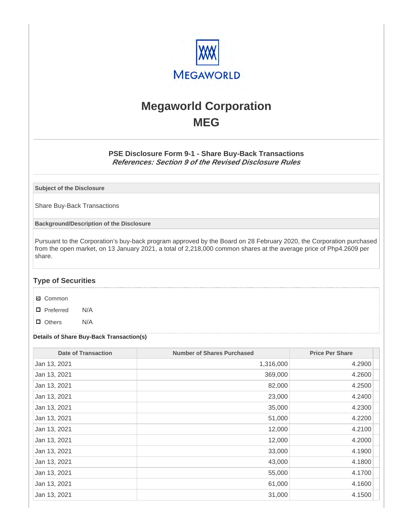

# **Megaworld Corporation MEG**

## **PSE Disclosure Form 9-1 - Share Buy-Back Transactions References: Section 9 of the Revised Disclosure Rules**

**Subject of the Disclosure**

Share Buy-Back Transactions

**Background/Description of the Disclosure**

Pursuant to the Corporation's buy-back program approved by the Board on 28 February 2020, the Corporation purchased from the open market, on 13 January 2021, a total of 2,218,000 common shares at the average price of Php4.2609 per share.

## **Type of Securities**

- **☑** Common
- □ Preferred N/A
- D Others N/A

### **Details of Share Buy-Back Transaction(s)**

| <b>Date of Transaction</b> | <b>Number of Shares Purchased</b> | <b>Price Per Share</b> |
|----------------------------|-----------------------------------|------------------------|
| Jan 13, 2021               | 1,316,000                         | 4.2900                 |
| Jan 13, 2021               | 369,000                           | 4.2600                 |
| Jan 13, 2021               | 82,000                            | 4.2500                 |
| Jan 13, 2021               | 23,000                            | 4.2400                 |
| Jan 13, 2021               | 35,000                            | 4.2300                 |
| Jan 13, 2021               | 51,000                            | 4.2200                 |
| Jan 13, 2021               | 12,000                            | 4.2100                 |
| Jan 13, 2021               | 12,000                            | 4.2000                 |
| Jan 13, 2021               | 33,000                            | 4.1900                 |
| Jan 13, 2021               | 43,000                            | 4.1800                 |
| Jan 13, 2021               | 55,000                            | 4.1700                 |
| Jan 13, 2021               | 61,000                            | 4.1600                 |
| Jan 13, 2021               | 31,000                            | 4.1500                 |